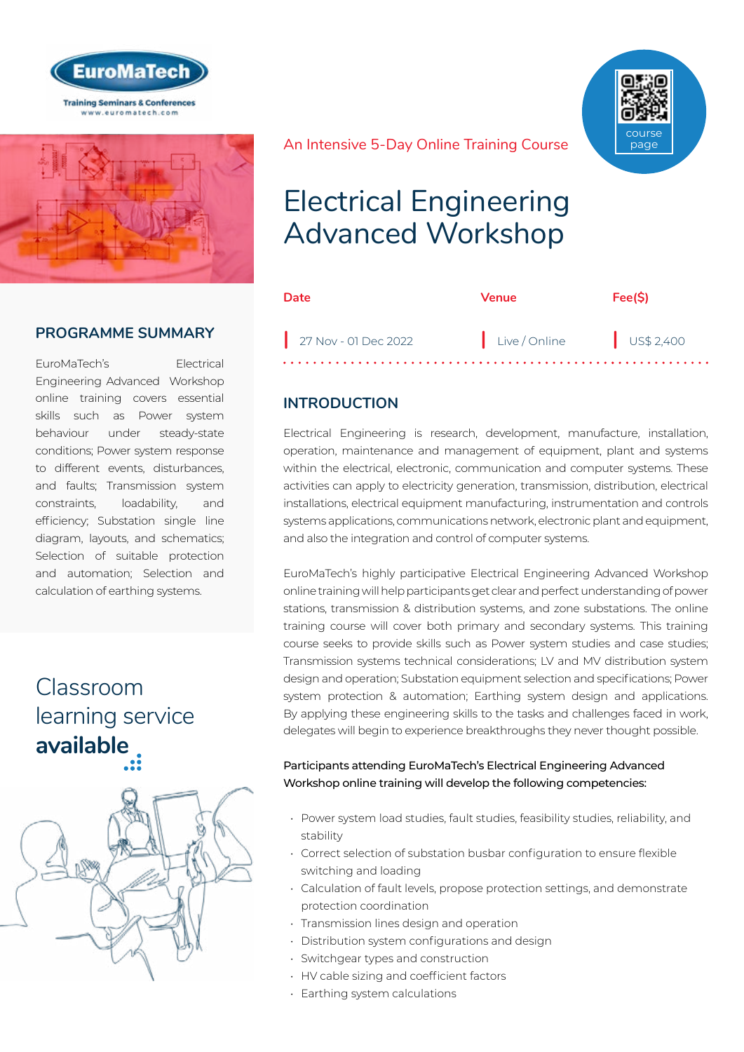



## **PROGRAMME SUMMARY**

EuroMaTech's Electrical Engineering Advanced Workshop online training covers essential skills such as Power system behaviour under steady-state conditions; Power system response to different events, disturbances, and faults; Transmission system constraints, loadability, and efficiency; Substation single line diagram, layouts, and schematics; Selection of suitable protection and automation; Selection and calculation of earthing systems.

## Classroom [learning service](https://www.euromatech.com/seminars/electrical-engineering-advanced-workshop/)  **available**



course page

#### An Intensive 5-Day Online Training Course

# Electrical Engineering Advanced Workshop

| Date                 | <b>Venue</b>           | Fee(S) |
|----------------------|------------------------|--------|
| 27 Nov - 01 Dec 2022 | Live/Online US\$ 2,400 |        |

### **INTRODUCTION**

Electrical Engineering is research, development, manufacture, installation, operation, maintenance and management of equipment, plant and systems within the electrical, electronic, communication and computer systems. These activities can apply to electricity generation, transmission, distribution, electrical installations, electrical equipment manufacturing, instrumentation and controls systems applications, communications network, electronic plant and equipment, and also the integration and control of computer systems.

EuroMaTech's highly participative Electrical Engineering Advanced Workshop online training will help participants get clear and perfect understanding of power stations, transmission & distribution systems, and zone substations. The online training course will cover both primary and secondary systems. This training course seeks to provide skills such as Power system studies and case studies; Transmission systems technical considerations; LV and MV distribution system design and operation; Substation equipment selection and specifications; Power system protection & automation; Earthing system design and applications. By applying these engineering skills to the tasks and challenges faced in work, delegates will begin to experience breakthroughs they never thought possible.

#### Participants attending EuroMaTech's Electrical Engineering Advanced Workshop online training will develop the following competencies:

- Power system load studies, fault studies, feasibility studies, reliability, and stability
- Correct selection of substation busbar configuration to ensure flexible switching and loading
- Calculation of fault levels, propose protection settings, and demonstrate protection coordination
- Transmission lines design and operation
- Distribution system configurations and design
- Switchgear types and construction
- HV cable sizing and coefficient factors
- Earthing system calculations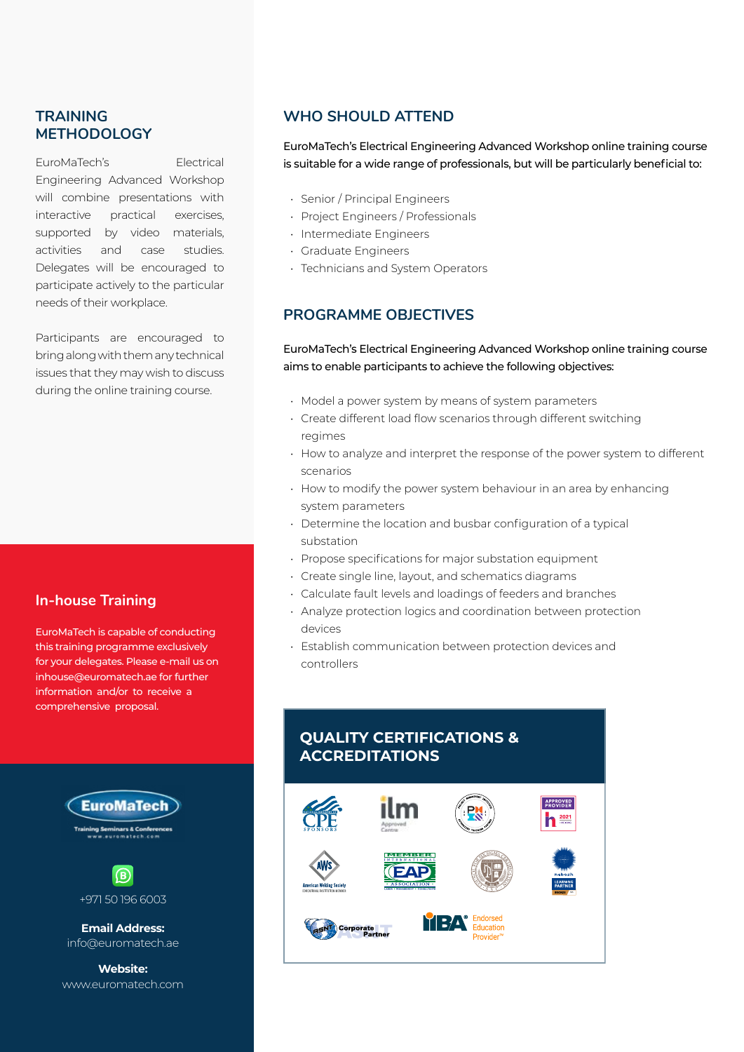### **TRAINING METHODOLOGY**

EuroMaTech's Electrical Engineering Advanced Workshop will combine presentations with interactive practical exercises, supported by video materials, activities and case studies. Delegates will be encouraged to participate actively to the particular needs of their workplace.

Participants are encouraged to bring along with them any technical issues that they may wish to discuss during the online training course.

#### **In-house Training**

EuroMaTech is capable of conducting this training programme exclusively for your delegates. Please e-mail us on inhouse@euromatech.ae for further information and/or to receive a comprehensive proposal.



+971 50 196 6003

**Email Address:** info@euromatech.ae

**Website:** www.euromatech.com

#### **WHO SHOULD ATTEND**

EuroMaTech's Electrical Engineering Advanced Workshop online training course is suitable for a wide range of professionals, but will be particularly beneficial to:

- Senior / Principal Engineers
- Project Engineers / Professionals
- Intermediate Engineers
- Graduate Engineers
- Technicians and System Operators

#### **PROGRAMME OBJECTIVES**

EuroMaTech's Electrical Engineering Advanced Workshop online training course aims to enable participants to achieve the following objectives:

- Model a power system by means of system parameters
- Create different load flow scenarios through different switching regimes
- How to analyze and interpret the response of the power system to different scenarios
- How to modify the power system behaviour in an area by enhancing system parameters
- Determine the location and busbar configuration of a typical substation
- Propose specifications for major substation equipment
- Create single line, layout, and schematics diagrams
- Calculate fault levels and loadings of feeders and branches
- Analyze protection logics and coordination between protection devices
- Establish communication between protection devices and controllers

### **QUALITY CERTIFICATIONS & ACCREDITATIONS**

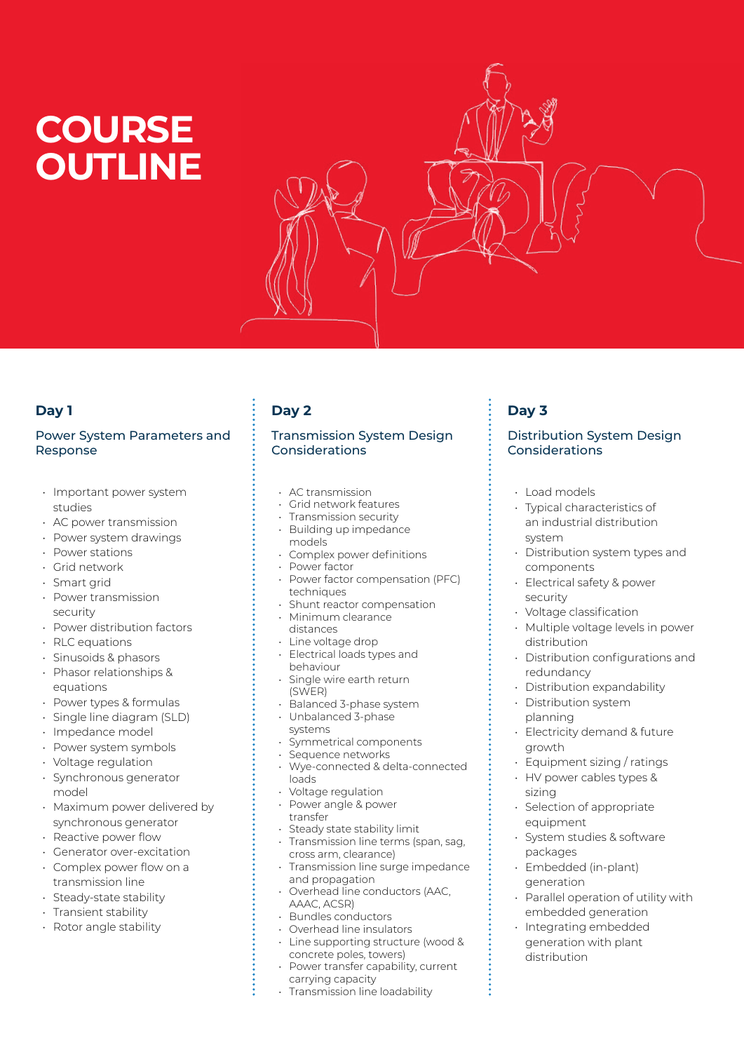# **COURSE OUTLINE**



## **Day 1**

#### Power System Parameters and Response

- Important power system studies
- AC power transmission
- Power system drawings
- Power stations
- Grid network
- Smart grid
- Power transmission security
- Power distribution factors
- RLC equations
- Sinusoids & phasors
- Phasor relationships & equations
- Power types & formulas
- Single line diagram (SLD)
- Impedance model
- Power system symbols
- Voltage regulation
- Synchronous generator model
- Maximum power delivered by synchronous generator
- Reactive power flow
- Generator over-excitation
- Complex power flow on a transmission line
- Steady-state stability
- Transient stability
- Rotor angle stability

## **Day 2**

#### Transmission System Design Considerations

- AC transmission
- Grid network features
- Transmission security
- Building up impedance models
- Complex power definitions
- Power factor
- Power factor compensation (PFC) techniques
- Shunt reactor compensation • Minimum clearance
- distances
- Line voltage drop • Electrical loads types and behaviour
- Single wire earth return (SWER)
- Balanced 3-phase system
- Unbalanced 3-phase
- systems
- Symmetrical components
- Sequence networks • Wye-connected & delta-connected
- loads
- Voltage regulation
- Power angle & power transfer
- Steady state stability limit • Transmission line terms (span, sag,
- cross arm, clearance) • Transmission line surge impedance and propagation
- Overhead line conductors (AAC, AAAC, ACSR)
- Bundles conductors
- Overhead line insulators
- Line supporting structure (wood & concrete poles, towers)
- Power transfer capability, current carrying capacity
- Transmission line loadability

## **Day 3**

#### Distribution System Design Considerations

- Load models
- Typical characteristics of an industrial distribution system
- Distribution system types and components
- Electrical safety & power security
- Voltage classification
- Multiple voltage levels in power distribution
- Distribution configurations and redundancy
- Distribution expandability
- Distribution system planning
- Electricity demand & future growth
- Equipment sizing / ratings
- HV power cables types & sizing
- Selection of appropriate equipment
- System studies & software packages
- Embedded (in-plant) generation
- Parallel operation of utility with embedded generation
- Integrating embedded generation with plant distribution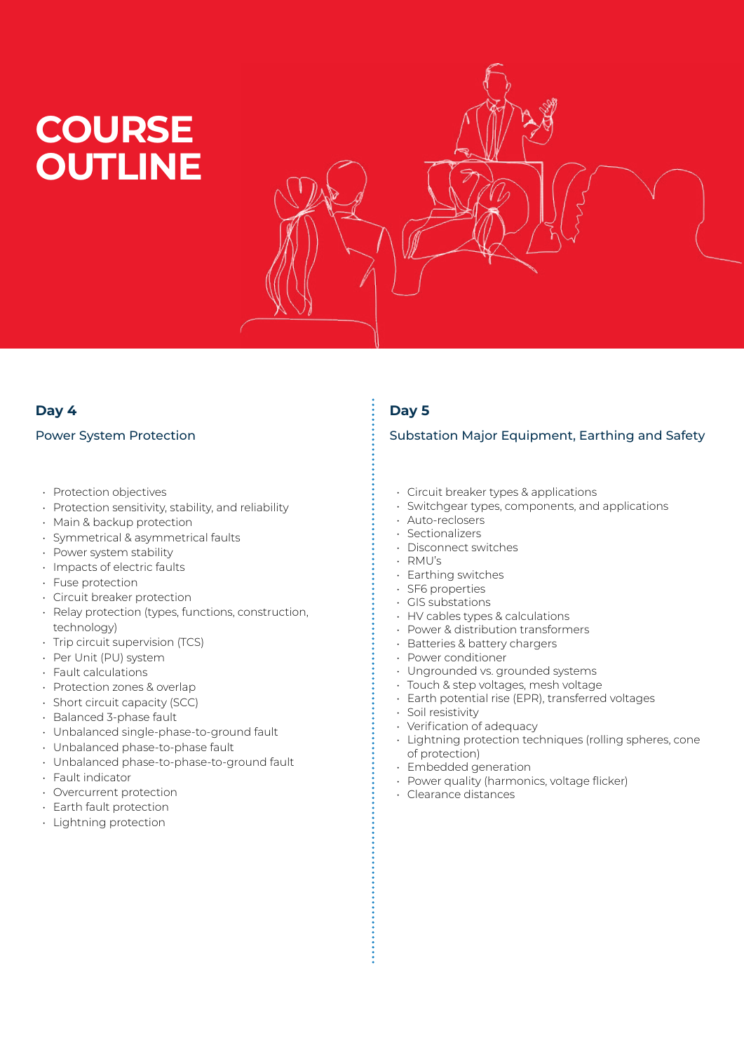# **COURSE OUTLINE**



## **Day 4**

#### Power System Protection

- Protection objectives
- Protection sensitivity, stability, and reliability
- Main & backup protection
- Symmetrical & asymmetrical faults
- Power system stability
- Impacts of electric faults
- Fuse protection
- Circuit breaker protection
- Relay protection (types, functions, construction, technology)
- Trip circuit supervision (TCS)
- Per Unit (PU) system
- Fault calculations
- Protection zones & overlap
- Short circuit capacity (SCC)
- Balanced 3-phase fault
- Unbalanced single-phase-to-ground fault
- Unbalanced phase-to-phase fault
- Unbalanced phase-to-phase-to-ground fault
- Fault indicator
- Overcurrent protection
- Earth fault protection
- Lightning protection

## **Day 5**

#### Substation Major Equipment, Earthing and Safety

- Circuit breaker types & applications
- Switchgear types, components, and applications
- Auto-reclosers
- Sectionalizers
- Disconnect switches
- RMU's
- Earthing switches
- SF6 properties
- GIS substations
- HV cables types & calculations
- Power & distribution transformers
- Batteries & battery chargers
- Power conditioner
- Ungrounded vs. grounded systems
- Touch & step voltages, mesh voltage
- Earth potential rise (EPR), transferred voltages
- Soil resistivity
- Verification of adequacy
- Lightning protection techniques (rolling spheres, cone of protection)
- Embedded generation
- Power quality (harmonics, voltage flicker)
- Clearance distances